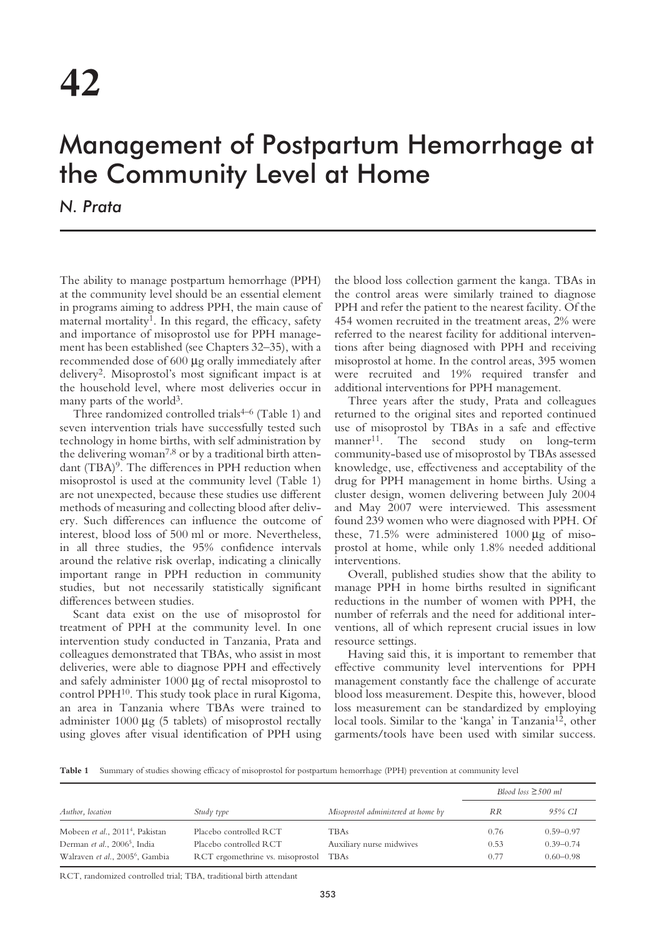## Management of Postpartum Hemorrhage at the Community Level at Home

*N. Prata*

The ability to manage postpartum hemorrhage (PPH) at the community level should be an essential element in programs aiming to address PPH, the main cause of maternal mortality<sup>1</sup>. In this regard, the efficacy, safety and importance of misoprostol use for PPH management has been established (see Chapters 32–35), with a recommended dose of 600 µg orally immediately after delivery2. Misoprostol's most significant impact is at the household level, where most deliveries occur in many parts of the world<sup>3</sup>.

Three randomized controlled trials<sup>4-6</sup> (Table 1) and seven intervention trials have successfully tested such technology in home births, with self administration by the delivering woman<sup>7,8</sup> or by a traditional birth attendant (TBA)<sup>9</sup>. The differences in PPH reduction when misoprostol is used at the community level (Table 1) are not unexpected, because these studies use different methods of measuring and collecting blood after delivery. Such differences can influence the outcome of interest, blood loss of 500 ml or more. Nevertheless, in all three studies, the 95% confidence intervals around the relative risk overlap, indicating a clinically important range in PPH reduction in community studies, but not necessarily statistically significant differences between studies.

Scant data exist on the use of misoprostol for treatment of PPH at the community level. In one intervention study conducted in Tanzania, Prata and colleagues demonstrated that TBAs, who assist in most deliveries, were able to diagnose PPH and effectively and safely administer 1000 µg of rectal misoprostol to control PPH10. This study took place in rural Kigoma, an area in Tanzania where TBAs were trained to administer  $1000 \mu g$  (5 tablets) of misoprostol rectally using gloves after visual identification of PPH using the blood loss collection garment the kanga. TBAs in the control areas were similarly trained to diagnose PPH and refer the patient to the nearest facility. Of the 454 women recruited in the treatment areas, 2% were referred to the nearest facility for additional interventions after being diagnosed with PPH and receiving misoprostol at home. In the control areas, 395 women were recruited and 19% required transfer and additional interventions for PPH management.

Three years after the study, Prata and colleagues returned to the original sites and reported continued use of misoprostol by TBAs in a safe and effective manner<sup>11</sup>. The second study on long-term community-based use of misoprostol by TBAs assessed knowledge, use, effectiveness and acceptability of the drug for PPH management in home births. Using a cluster design, women delivering between July 2004 and May 2007 were interviewed. This assessment found 239 women who were diagnosed with PPH. Of these, 71.5% were administered 1000 µg of misoprostol at home, while only 1.8% needed additional interventions.

Overall, published studies show that the ability to manage PPH in home births resulted in significant reductions in the number of women with PPH, the number of referrals and the need for additional interventions, all of which represent crucial issues in low resource settings.

Having said this, it is important to remember that effective community level interventions for PPH management constantly face the challenge of accurate blood loss measurement. Despite this, however, blood loss measurement can be standardized by employing local tools. Similar to the 'kanga' in Tanzania<sup>12</sup>, other garments/tools have been used with similar success.

**Table 1** Summary of studies showing efficacy of misoprostol for postpartum hemorrhage (PPH) prevention at community level

| Author, location                            | Study type                       | Misoprostol administered at home by | Blood loss $\geq$ 500 ml |               |
|---------------------------------------------|----------------------------------|-------------------------------------|--------------------------|---------------|
|                                             |                                  |                                     | <b>RR</b>                | 95% CI        |
| Mobeen et al., 2011 <sup>4</sup> , Pakistan | Placebo controlled RCT           | <b>TBAs</b>                         | 0.76                     | $0.59 - 0.97$ |
| Derman et al., 2006 <sup>5</sup> , India    | Placebo controlled RCT           | Auxiliary nurse midwives            | 0.53                     | $0.39 - 0.74$ |
| Walraven et al., 2005 <sup>6</sup> , Gambia | RCT ergomethrine vs. misoprostol | TBAs                                | 0.77                     | $0.60 - 0.98$ |

RCT, randomized controlled trial; TBA, traditional birth attendant